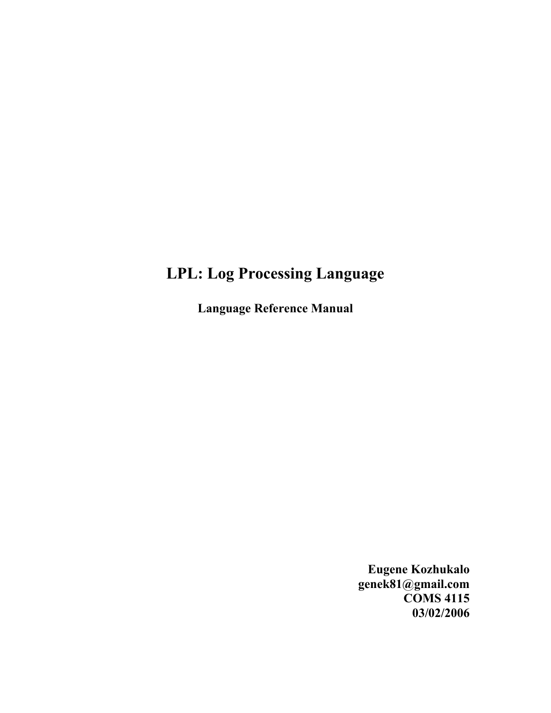# **LPL: Log Processing Language**

**Language Reference Manual**

**Eugene Kozhukalo genek81@gmail.com COMS 4115 03/02/2006**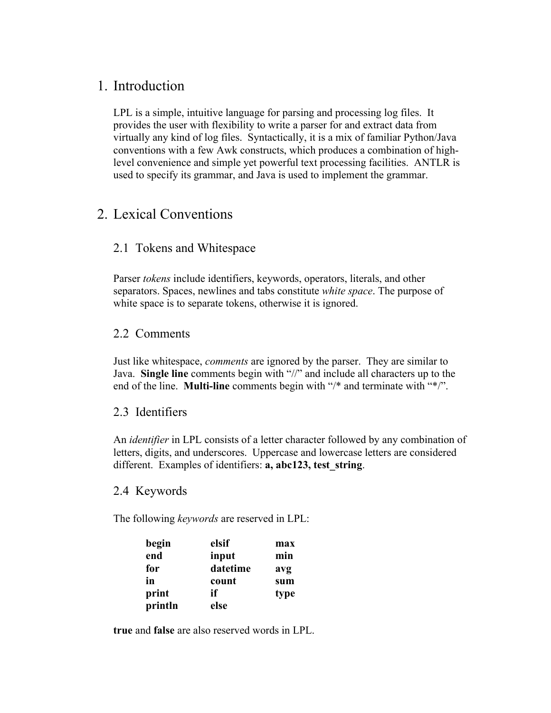# 1. Introduction

LPL is a simple, intuitive language for parsing and processing log files. It provides the user with flexibility to write a parser for and extract data from virtually any kind of log files. Syntactically, it is a mix of familiar Python/Java conventions with a few Awk constructs, which produces a combination of highlevel convenience and simple yet powerful text processing facilities. ANTLR is used to specify its grammar, and Java is used to implement the grammar.

# 2. Lexical Conventions

### 2.1 Tokens and Whitespace

Parser *tokens* include identifiers, keywords, operators, literals, and other separators. Spaces, newlines and tabs constitute *white space*. The purpose of white space is to separate tokens, otherwise it is ignored.

### 2.2 Comments

Just like whitespace, *comments* are ignored by the parser. They are similar to Java. **Single line** comments begin with "//" and include all characters up to the end of the line. **Multi-line** comments begin with "/\* and terminate with "\*/".

#### 2.3 Identifiers

An *identifier* in LPL consists of a letter character followed by any combination of letters, digits, and underscores. Uppercase and lowercase letters are considered different. Examples of identifiers: **a, abc123, test\_string**.

#### 2.4 Keywords

The following *keywords* are reserved in LPL:

| begin   | elsif    | max  |
|---------|----------|------|
| end     | input    | min  |
| for     | datetime | avg  |
| in      | count    | sum  |
| print   | if       | type |
| println | else     |      |

**true** and **false** are also reserved words in LPL.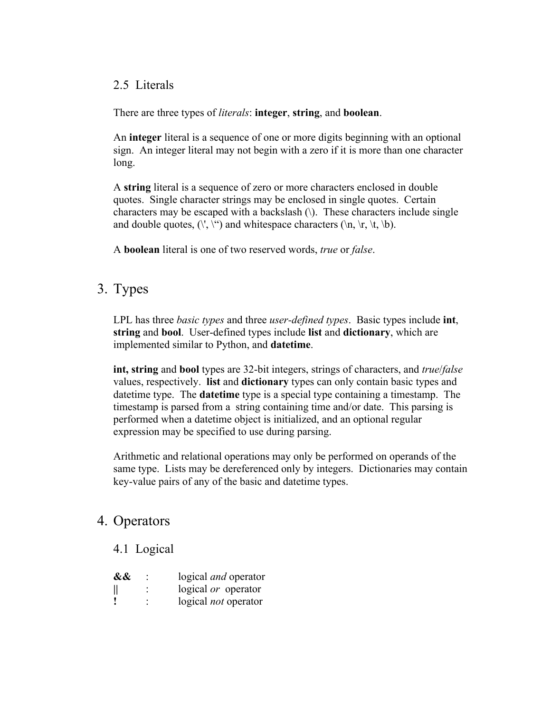#### 2.5 Literals

There are three types of *literals*: **integer**, **string**, and **boolean**.

An **integer** literal is a sequence of one or more digits beginning with an optional sign. An integer literal may not begin with a zero if it is more than one character long.

A **string** literal is a sequence of zero or more characters enclosed in double quotes. Single character strings may be enclosed in single quotes. Certain characters may be escaped with a backslash (\). These characters include single and double quotes,  $(\nabla, \nabla)$  and whitespace characters  $(\nabla n, \nabla, \nabla)$ .

A **boolean** literal is one of two reserved words, *true* or *false*.

# 3. Types

LPL has three *basic types* and three *user-defined types*. Basic types include **int**, **string** and **bool**. User-defined types include **list** and **dictionary**, which are implemented similar to Python, and **datetime**.

**int, string** and **bool** types are 32-bit integers, strings of characters, and *true*/*false* values, respectively. **list** and **dictionary** types can only contain basic types and datetime type. The **datetime** type is a special type containing a timestamp. The timestamp is parsed from a string containing time and/or date. This parsing is performed when a datetime object is initialized, and an optional regular expression may be specified to use during parsing.

Arithmetic and relational operations may only be performed on operands of the same type. Lists may be dereferenced only by integers. Dictionaries may contain key-value pairs of any of the basic and datetime types.

# 4. Operators

#### 4.1 Logical

| && | logical <i>and</i> operator |
|----|-----------------------------|
|    | logical or operator         |
|    | logical <i>not</i> operator |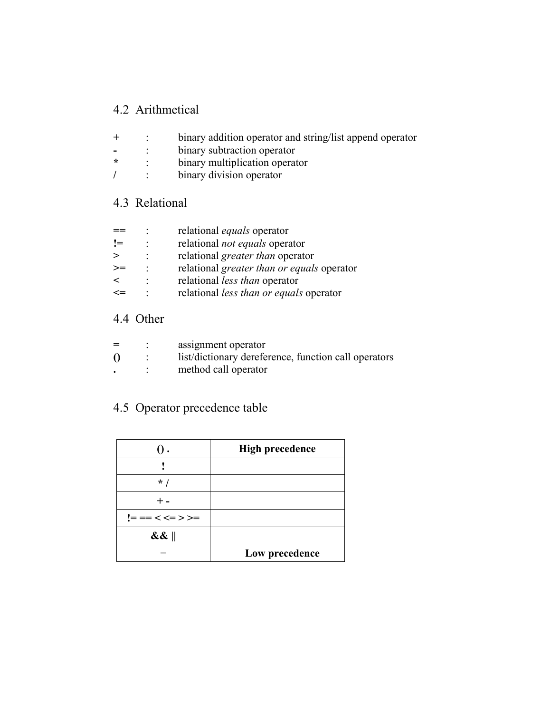## 4.2 Arithmetical

- **+** : binary addition operator and string/list append operator
- **-** : binary subtraction operator<br> **\*** : binary multiplication operator
- binary multiplication operator
- **/** : binary division operator

### 4.3 Relational

|    | relational <i>equals</i> operator          |
|----|--------------------------------------------|
| != | relational <i>not equals</i> operator      |
|    | relational <i>greater than</i> operator    |
| >≕ | relational greater than or equals operator |
|    | relational <i>less than</i> operator       |
|    | relational less than or equals operator    |

### 4.4 Other

| $=$      | assignment operator                                  |
|----------|------------------------------------------------------|
| $\Omega$ | list/dictionary dereference, function call operators |
|          | method call operator                                 |

# 4.5 Operator precedence table

|                 | <b>High precedence</b> |
|-----------------|------------------------|
|                 |                        |
| $*1$            |                        |
|                 |                        |
| != == < <= > >= |                        |
| $\&\&\ $        |                        |
|                 | Low precedence         |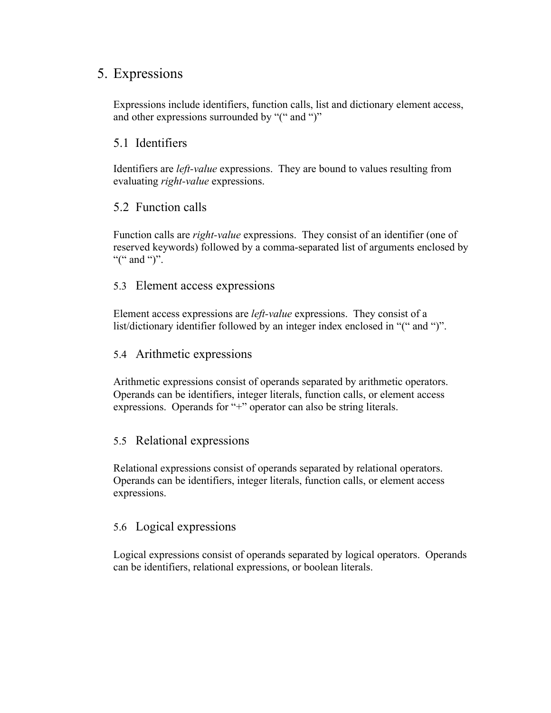# 5. Expressions

Expressions include identifiers, function calls, list and dictionary element access, and other expressions surrounded by "(" and ")"

### 5.1 Identifiers

Identifiers are *left-value* expressions. They are bound to values resulting from evaluating *right-value* expressions.

### 5.2 Function calls

Function calls are *right-value* expressions. They consist of an identifier (one of reserved keywords) followed by a comma-separated list of arguments enclosed by "(" and ")".

#### 5.3 Element access expressions

Element access expressions are *left-value* expressions. They consist of a list/dictionary identifier followed by an integer index enclosed in "(" and ")".

#### 5.4 Arithmetic expressions

Arithmetic expressions consist of operands separated by arithmetic operators. Operands can be identifiers, integer literals, function calls, or element access expressions. Operands for "+" operator can also be string literals.

#### 5.5 Relational expressions

Relational expressions consist of operands separated by relational operators. Operands can be identifiers, integer literals, function calls, or element access expressions.

### 5.6 Logical expressions

Logical expressions consist of operands separated by logical operators. Operands can be identifiers, relational expressions, or boolean literals.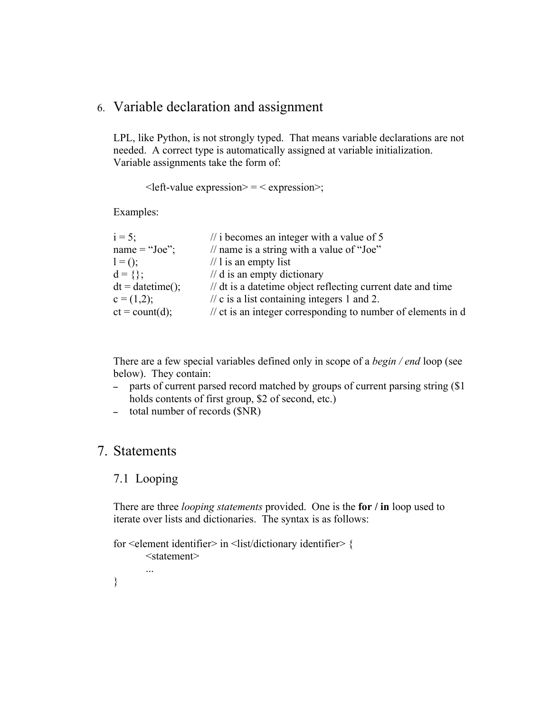# 6. Variable declaration and assignment

LPL, like Python, is not strongly typed. That means variable declarations are not needed. A correct type is automatically assigned at variable initialization. Variable assignments take the form of:

 $\leq$  left-value expression $\geq$  =  $\leq$  expression $\geq$ ;

Examples:

| // name is a string with a value of "Joe"<br>name = "Joe";                                  |  |
|---------------------------------------------------------------------------------------------|--|
|                                                                                             |  |
| $\frac{1}{1}$ is an empty list<br>$1 = ()$ ;                                                |  |
| $d = \{\};$<br>$\frac{1}{d}$ d is an empty dictionary                                       |  |
| $dt = datetime();$<br>// dt is a date time object reflecting current date and time          |  |
| $\pi$ c is a list containing integers 1 and 2.<br>$c = (1,2);$                              |  |
| $ct = count(d);$<br>$\frac{1}{x}$ ct is an integer corresponding to number of elements in d |  |

There are a few special variables defined only in scope of a *begin / end* loop (see below). They contain:

- parts of current parsed record matched by groups of current parsing string (\$1 holds contents of first group, \$2 of second, etc.)
- total number of records (\$NR)

### 7. Statements

#### 7.1 Looping

...

There are three *looping statements* provided. One is the **for / in** loop used to iterate over lists and dictionaries. The syntax is as follows:

```
for <element identifier> in <list/dictionary identifier> {
       <statement>
```
}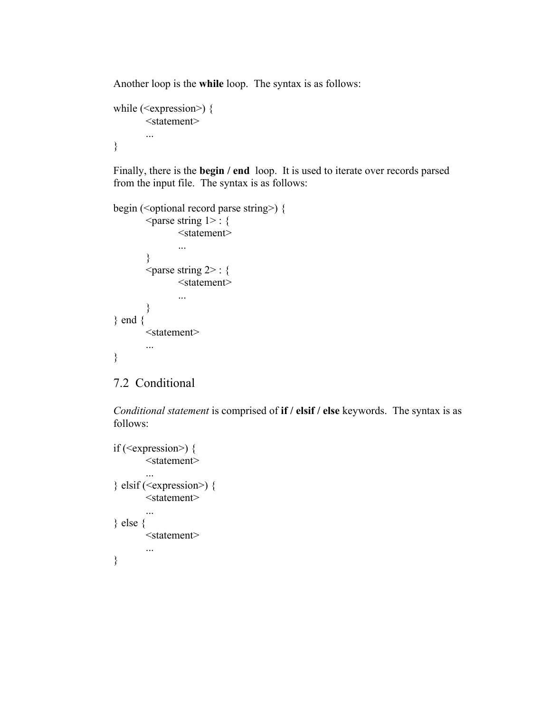Another loop is the **while** loop. The syntax is as follows:

```
while (\leqexpression\geq) {
        <statement>
        ...
}
```
Finally, there is the **begin / end** loop. It is used to iterate over records parsed from the input file. The syntax is as follows:

```
begin (\leoptional record parse string\ge) {
        \epsilon <parse string 1> : {
                 <statement>
                 ...
         }
        \langle parse string 2> : {
                 <statement>
                 ...
         }
} end {
        <statement>
        ...
}
```
## 7.2 Conditional

*Conditional statement* is comprised of **if / elsif / else** keywords. The syntax is as follows:

```
if (\leqexpression\geq) {
        <statement>
        ...
\} elsif (<expression>) {
        <statement>
        ...
} else {
        <statement>
        ...
}
```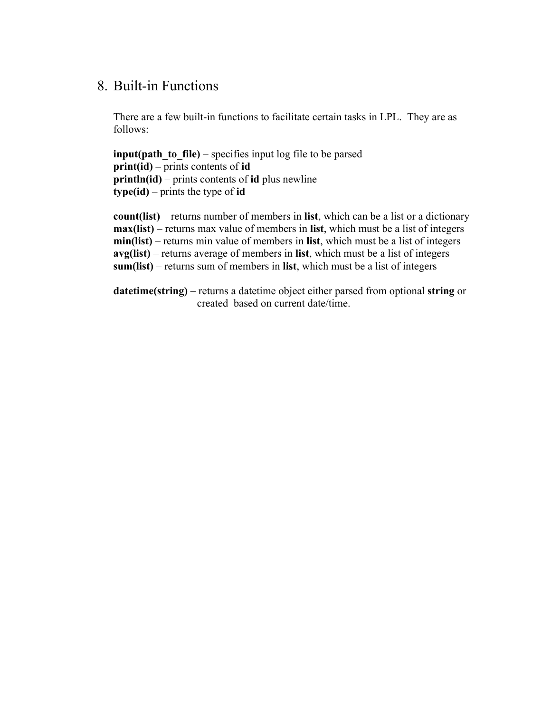# 8. Built-in Functions

There are a few built-in functions to facilitate certain tasks in LPL. They are as follows:

**input(path to file)** – specifies input log file to be parsed **print(id) –** prints contents of **id println(id)** – prints contents of **id** plus newline **type(id)** – prints the type of **id**

**count(list)** – returns number of members in **list**, which can be a list or a dictionary **max(list)** – returns max value of members in **list**, which must be a list of integers **min(list)** – returns min value of members in **list**, which must be a list of integers **avg(list)** – returns average of members in **list**, which must be a list of integers **sum(list)** – returns sum of members in **list**, which must be a list of integers

**datetime(string)** – returns a datetime object either parsed from optional **string** or created based on current date/time.